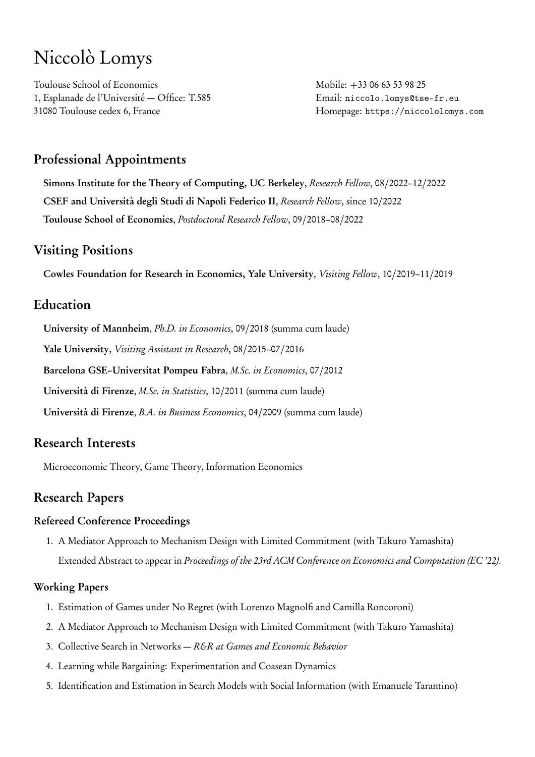# Niccolò Lomys

Toulouse School of Economics 1, Esplanade de l'Université — Office: T.585 31080 Toulouse cedex 6, France

Mobile: +33 06 63 53 98 25 Email: [niccolo.lomys@tse-fr.eu](mailto:niccolo.lomys@tse-fr.eu) Homepage: <https://niccololomys.com>

# Professional Appointments

Simons Institute for the Theory of Computing, UC Berkeley, Research Fellow, 08/2022–12/2022 CSEF and Università degli Studi di Napoli Federico II, Research Fellow, since 10/2022 Toulouse School of Economics, Postdoctoral Research Fellow, 09/2018–08/2022

## Visiting Positions

Cowles Foundation for Research in Economics, Yale University, Visiting Fellow, 10/2019–11/2019

# Education

University of Mannheim, Ph.D. in Economics, 09/2018 (summa cum laude)

Yale University, Visiting Assistant in Research, 08/2015–07/2016

Barcelona GSE–Universitat Pompeu Fabra, M.Sc. in Economics, 07/2012

Università di Firenze, M.Sc. in Statistics, 10/2011 (summa cum laude)

Università di Firenze, B.A. in Business Economics, 04/2009 (summa cum laude)

# Research Interests

Microeconomic Theory, Game Theory, Information Economics

# Research Papers

#### Refereed Conference Proceedings

1. A Mediator Approach to Mechanism Design with Limited Commitment (with Takuro Yamashita) Extended Abstract to appear in Proceedings of the 23rd ACM Conference on Economics and Computation (EC '22).

## Working Papers

- 1. Estimation of Games under No Regret (with Lorenzo Magnolfi and Camilla Roncoroni)
- 2. A Mediator Approach to Mechanism Design with Limited Commitment (with Takuro Yamashita)
- 3. Collective Search in Networks R&R at Games and Economic Behavior
- 4. Learning while Bargaining: Experimentation and Coasean Dynamics
- 5. Identification and Estimation in Search Models with Social Information (with Emanuele Tarantino)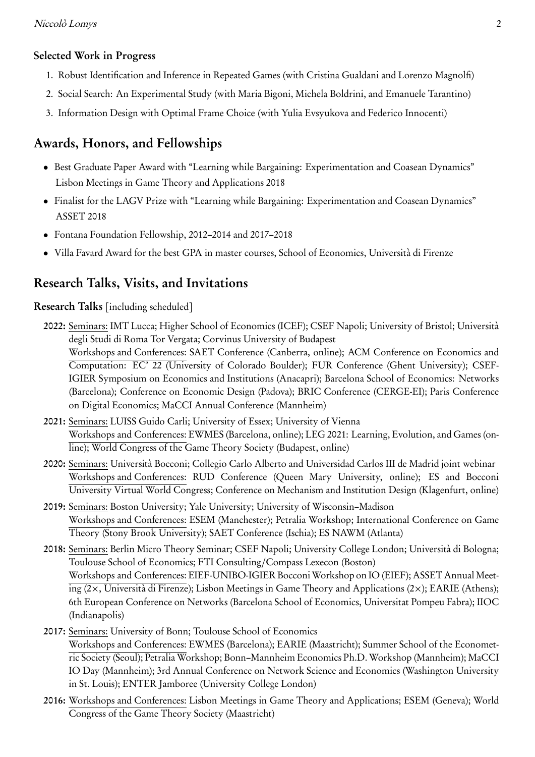#### Selected Work in Progress

- 1. Robust Identification and Inference in Repeated Games (with Cristina Gualdani and Lorenzo Magnolfi)
- 2. Social Search: An Experimental Study (with Maria Bigoni, Michela Boldrini, and Emanuele Tarantino)
- 3. Information Design with Optimal Frame Choice (with Yulia Evsyukova and Federico Innocenti)

# Awards, Honors, and Fellowships

- Best Graduate Paper Award with "Learning while Bargaining: Experimentation and Coasean Dynamics" Lisbon Meetings in Game Theory and Applications 2018
- Finalist for the LAGV Prize with "Learning while Bargaining: Experimentation and Coasean Dynamics" ASSET 2018
- Fontana Foundation Fellowship, 2012–2014 and 2017–2018
- Villa Favard Award for the best GPA in master courses, School of Economics, Università di Firenze

# Research Talks, Visits, and Invitations

Research Talks [including scheduled]

- 2022: Seminars: IMT Lucca; Higher School of Economics (ICEF); CSEF Napoli; University of Bristol; Università degli Studi di Roma Tor Vergata; Corvinus University of Budapest Workshops and Conferences: SAET Conference (Canberra, online); ACM Conference on Economics and Computation: EC' 22 (University of Colorado Boulder); FUR Conference (Ghent University); CSEF-IGIER Symposium on Economics and Institutions (Anacapri); Barcelona School of Economics: Networks (Barcelona); Conference on Economic Design (Padova); BRIC Conference (CERGE-EI); Paris Conference on Digital Economics; MaCCI Annual Conference (Mannheim)
- 2021: Seminars: LUISS Guido Carli; University of Essex; University of Vienna Workshops and Conferences: EWMES (Barcelona, online); LEG 2021: Learning, Evolution, and Games (online); World Congress of the Game Theory Society (Budapest, online)
- 2020: Seminars: Università Bocconi; Collegio Carlo Alberto and Universidad Carlos III de Madrid joint webinar Workshops and Conferences: RUD Conference (Queen Mary University, online); ES and Bocconi University Virtual World Congress; Conference on Mechanism and Institution Design (Klagenfurt, online)
- 2019: Seminars: Boston University; Yale University; University of Wisconsin–Madison Workshops and Conferences: ESEM (Manchester); Petralia Workshop; International Conference on Game Theory (Stony Brook University); SAET Conference (Ischia); ES NAWM (Atlanta)
- 2018: Seminars: Berlin Micro Theory Seminar; CSEF Napoli; University College London; Università di Bologna; Toulouse School of Economics; FTI Consulting/Compass Lexecon (Boston) Workshops and Conferences: EIEF-UNIBO-IGIER Bocconi Workshop on IO (EIEF); ASSET Annual Meeting (2×, Università di Firenze); Lisbon Meetings in Game Theory and Applications (2×); EARIE (Athens); 6th European Conference on Networks (Barcelona School of Economics, Universitat Pompeu Fabra); IIOC (Indianapolis)
- 2017: Seminars: University of Bonn; Toulouse School of Economics Workshops and Conferences: EWMES (Barcelona); EARIE (Maastricht); Summer School of the Econometric Society (Seoul); Petralia Workshop; Bonn–Mannheim Economics Ph.D. Workshop (Mannheim); MaCCI IO Day (Mannheim); 3rd Annual Conference on Network Science and Economics (Washington University in St. Louis); ENTER Jamboree (University College London)
- 2016: Workshops and Conferences: Lisbon Meetings in Game Theory and Applications; ESEM (Geneva); World Congress of the Game Theory Society (Maastricht)